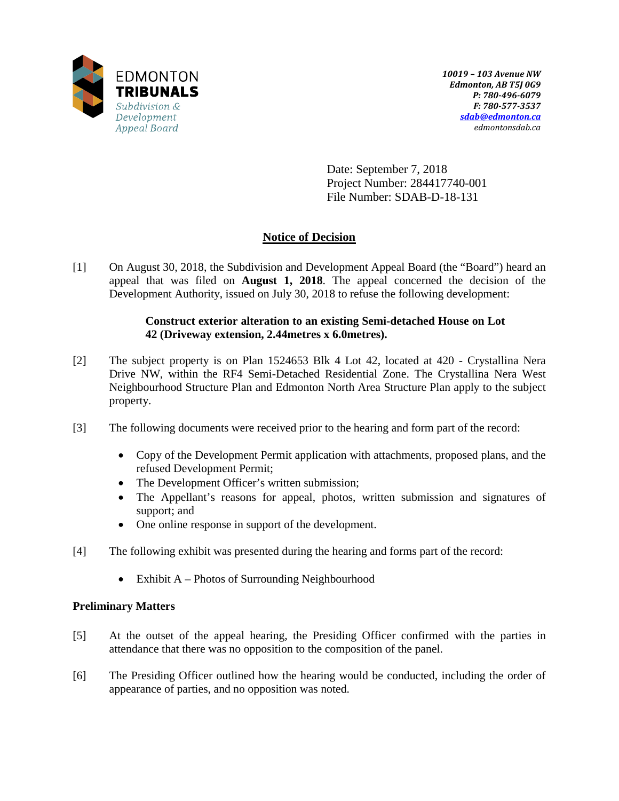

Date: September 7, 2018 Project Number: 284417740-001 File Number: SDAB-D-18-131

# **Notice of Decision**

[1] On August 30, 2018, the Subdivision and Development Appeal Board (the "Board") heard an appeal that was filed on **August 1, 2018**. The appeal concerned the decision of the Development Authority, issued on July 30, 2018 to refuse the following development:

## **Construct exterior alteration to an existing Semi-detached House on Lot 42 (Driveway extension, 2.44metres x 6.0metres).**

- [2] The subject property is on Plan 1524653 Blk 4 Lot 42, located at 420 Crystallina Nera Drive NW, within the RF4 Semi-Detached Residential Zone. The Crystallina Nera West Neighbourhood Structure Plan and Edmonton North Area Structure Plan apply to the subject property.
- [3] The following documents were received prior to the hearing and form part of the record:
	- Copy of the Development Permit application with attachments, proposed plans, and the refused Development Permit;
	- The Development Officer's written submission;
	- The Appellant's reasons for appeal, photos, written submission and signatures of support; and
	- One online response in support of the development.
- [4] The following exhibit was presented during the hearing and forms part of the record:
	- Exhibit A Photos of Surrounding Neighbourhood

## **Preliminary Matters**

- [5] At the outset of the appeal hearing, the Presiding Officer confirmed with the parties in attendance that there was no opposition to the composition of the panel.
- [6] The Presiding Officer outlined how the hearing would be conducted, including the order of appearance of parties, and no opposition was noted.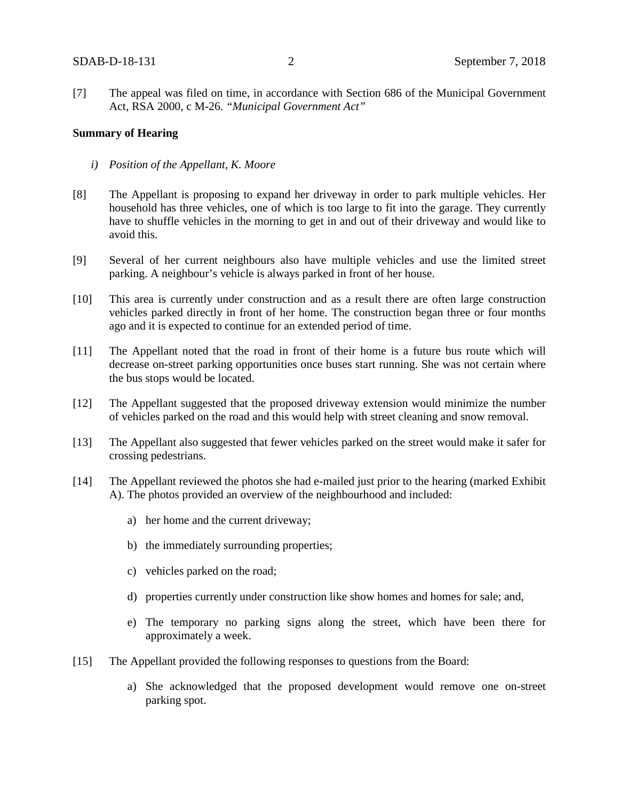[7] The appeal was filed on time, in accordance with Section 686 of the Municipal Government Act, RSA 2000, c M-26. *"Municipal Government Act"*

### **Summary of Hearing**

- *i) Position of the Appellant, K. Moore*
- [8] The Appellant is proposing to expand her driveway in order to park multiple vehicles. Her household has three vehicles, one of which is too large to fit into the garage. They currently have to shuffle vehicles in the morning to get in and out of their driveway and would like to avoid this.
- [9] Several of her current neighbours also have multiple vehicles and use the limited street parking. A neighbour's vehicle is always parked in front of her house.
- [10] This area is currently under construction and as a result there are often large construction vehicles parked directly in front of her home. The construction began three or four months ago and it is expected to continue for an extended period of time.
- [11] The Appellant noted that the road in front of their home is a future bus route which will decrease on-street parking opportunities once buses start running. She was not certain where the bus stops would be located.
- [12] The Appellant suggested that the proposed driveway extension would minimize the number of vehicles parked on the road and this would help with street cleaning and snow removal.
- [13] The Appellant also suggested that fewer vehicles parked on the street would make it safer for crossing pedestrians.
- [14] The Appellant reviewed the photos she had e-mailed just prior to the hearing (marked Exhibit A). The photos provided an overview of the neighbourhood and included:
	- a) her home and the current driveway;
	- b) the immediately surrounding properties;
	- c) vehicles parked on the road;
	- d) properties currently under construction like show homes and homes for sale; and,
	- e) The temporary no parking signs along the street, which have been there for approximately a week.
- [15] The Appellant provided the following responses to questions from the Board:
	- a) She acknowledged that the proposed development would remove one on-street parking spot.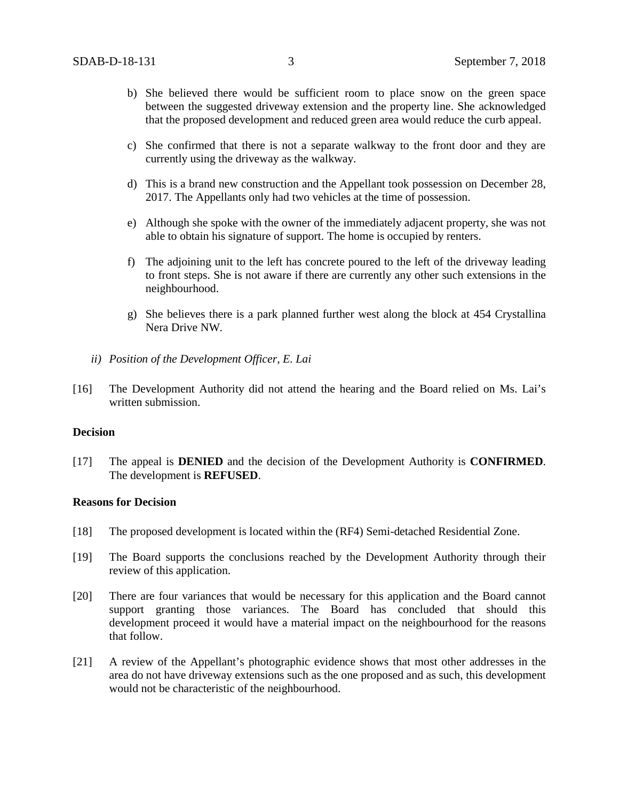- b) She believed there would be sufficient room to place snow on the green space between the suggested driveway extension and the property line. She acknowledged that the proposed development and reduced green area would reduce the curb appeal.
- c) She confirmed that there is not a separate walkway to the front door and they are currently using the driveway as the walkway.
- d) This is a brand new construction and the Appellant took possession on December 28, 2017. The Appellants only had two vehicles at the time of possession.
- e) Although she spoke with the owner of the immediately adjacent property, she was not able to obtain his signature of support. The home is occupied by renters.
- f) The adjoining unit to the left has concrete poured to the left of the driveway leading to front steps. She is not aware if there are currently any other such extensions in the neighbourhood.
- g) She believes there is a park planned further west along the block at 454 Crystallina Nera Drive NW.
- *ii) Position of the Development Officer, E. Lai*
- [16] The Development Authority did not attend the hearing and the Board relied on Ms. Lai's written submission.

### **Decision**

[17] The appeal is **DENIED** and the decision of the Development Authority is **CONFIRMED**. The development is **REFUSED**.

#### **Reasons for Decision**

- [18] The proposed development is located within the (RF4) Semi-detached Residential Zone.
- [19] The Board supports the conclusions reached by the Development Authority through their review of this application.
- [20] There are four variances that would be necessary for this application and the Board cannot support granting those variances. The Board has concluded that should this development proceed it would have a material impact on the neighbourhood for the reasons that follow.
- [21] A review of the Appellant's photographic evidence shows that most other addresses in the area do not have driveway extensions such as the one proposed and as such, this development would not be characteristic of the neighbourhood.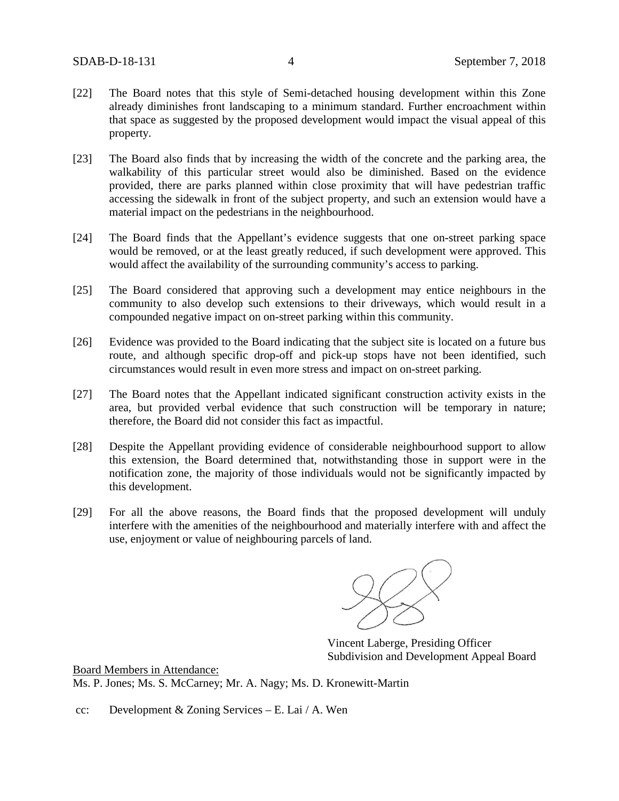- [22] The Board notes that this style of Semi-detached housing development within this Zone already diminishes front landscaping to a minimum standard. Further encroachment within that space as suggested by the proposed development would impact the visual appeal of this property.
- [23] The Board also finds that by increasing the width of the concrete and the parking area, the walkability of this particular street would also be diminished. Based on the evidence provided, there are parks planned within close proximity that will have pedestrian traffic accessing the sidewalk in front of the subject property, and such an extension would have a material impact on the pedestrians in the neighbourhood.
- [24] The Board finds that the Appellant's evidence suggests that one on-street parking space would be removed, or at the least greatly reduced, if such development were approved. This would affect the availability of the surrounding community's access to parking.
- [25] The Board considered that approving such a development may entice neighbours in the community to also develop such extensions to their driveways, which would result in a compounded negative impact on on-street parking within this community.
- [26] Evidence was provided to the Board indicating that the subject site is located on a future bus route, and although specific drop-off and pick-up stops have not been identified, such circumstances would result in even more stress and impact on on-street parking.
- [27] The Board notes that the Appellant indicated significant construction activity exists in the area, but provided verbal evidence that such construction will be temporary in nature; therefore, the Board did not consider this fact as impactful.
- [28] Despite the Appellant providing evidence of considerable neighbourhood support to allow this extension, the Board determined that, notwithstanding those in support were in the notification zone, the majority of those individuals would not be significantly impacted by this development.
- [29] For all the above reasons, the Board finds that the proposed development will unduly interfere with the amenities of the neighbourhood and materially interfere with and affect the use, enjoyment or value of neighbouring parcels of land.

Vincent Laberge, Presiding Officer Subdivision and Development Appeal Board

Board Members in Attendance: Ms. P. Jones; Ms. S. McCarney; Mr. A. Nagy; Ms. D. Kronewitt-Martin

cc: Development & Zoning Services – E. Lai / A. Wen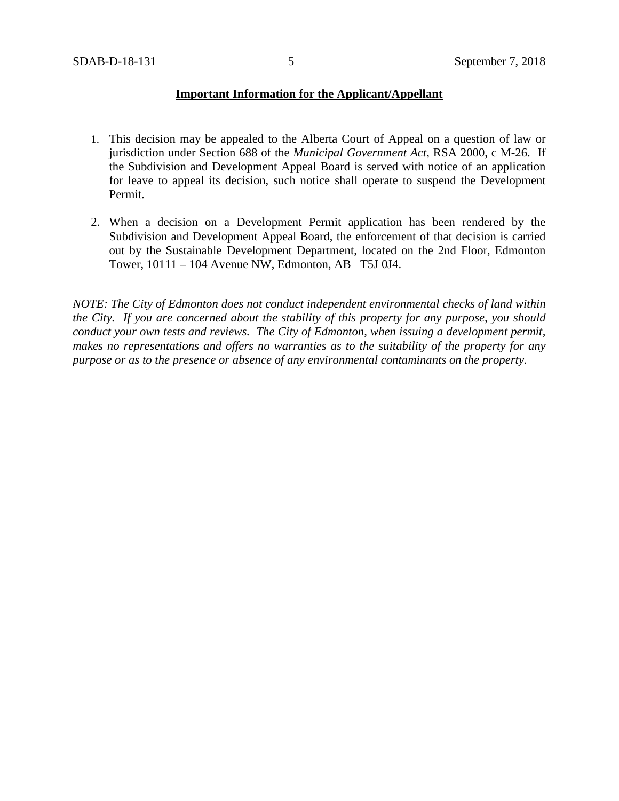### **Important Information for the Applicant/Appellant**

- 1. This decision may be appealed to the Alberta Court of Appeal on a question of law or jurisdiction under Section 688 of the *Municipal Government Act*, RSA 2000, c M-26. If the Subdivision and Development Appeal Board is served with notice of an application for leave to appeal its decision, such notice shall operate to suspend the Development Permit.
- 2. When a decision on a Development Permit application has been rendered by the Subdivision and Development Appeal Board, the enforcement of that decision is carried out by the Sustainable Development Department, located on the 2nd Floor, Edmonton Tower, 10111 – 104 Avenue NW, Edmonton, AB T5J 0J4.

*NOTE: The City of Edmonton does not conduct independent environmental checks of land within the City. If you are concerned about the stability of this property for any purpose, you should conduct your own tests and reviews. The City of Edmonton, when issuing a development permit, makes no representations and offers no warranties as to the suitability of the property for any purpose or as to the presence or absence of any environmental contaminants on the property.*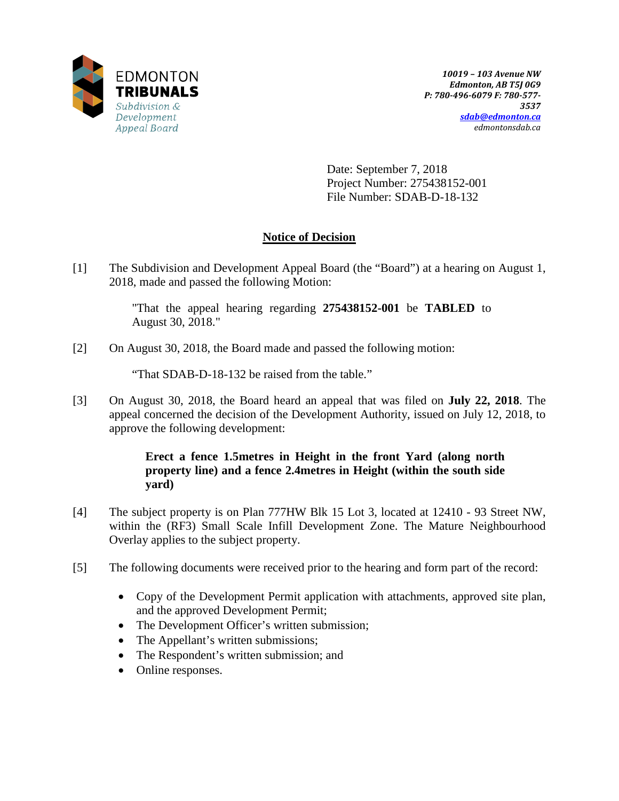

Date: September 7, 2018 Project Number: 275438152-001 File Number: SDAB-D-18-132

# **Notice of Decision**

[1] The Subdivision and Development Appeal Board (the "Board") at a hearing on August 1, 2018, made and passed the following Motion:

> "That the appeal hearing regarding **275438152-001** be **TABLED** to August 30, 2018."

[2] On August 30, 2018, the Board made and passed the following motion:

"That SDAB-D-18-132 be raised from the table."

[3] On August 30, 2018, the Board heard an appeal that was filed on **July 22, 2018**. The appeal concerned the decision of the Development Authority, issued on July 12, 2018, to approve the following development:

## **Erect a fence 1.5metres in Height in the front Yard (along north property line) and a fence 2.4metres in Height (within the south side yard)**

- [4] The subject property is on Plan 777HW Blk 15 Lot 3, located at 12410 93 Street NW, within the (RF3) Small Scale Infill Development Zone. The Mature Neighbourhood Overlay applies to the subject property.
- [5] The following documents were received prior to the hearing and form part of the record:
	- Copy of the Development Permit application with attachments, approved site plan, and the approved Development Permit;
	- The Development Officer's written submission;
	- The Appellant's written submissions;
	- The Respondent's written submission; and
	- Online responses.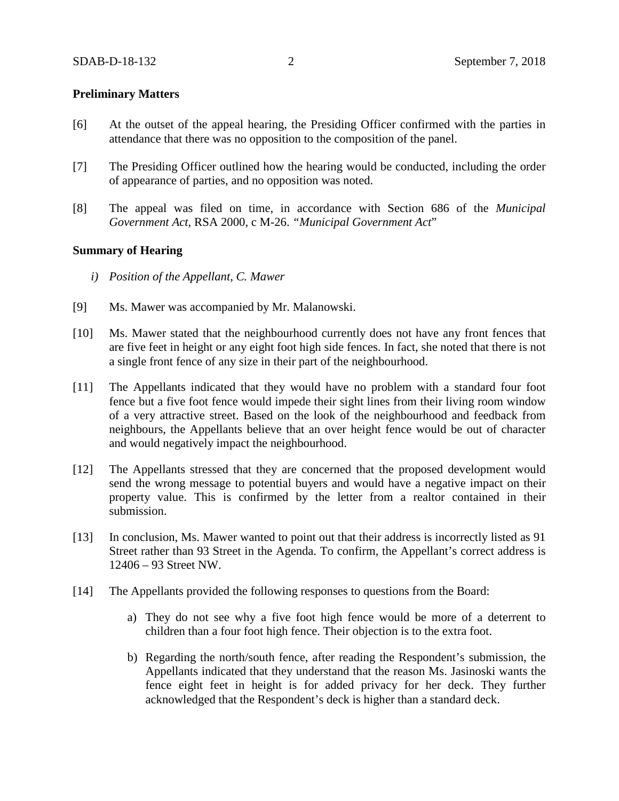### **Preliminary Matters**

- [6] At the outset of the appeal hearing, the Presiding Officer confirmed with the parties in attendance that there was no opposition to the composition of the panel.
- [7] The Presiding Officer outlined how the hearing would be conducted, including the order of appearance of parties, and no opposition was noted.
- [8] The appeal was filed on time, in accordance with Section 686 of the *Municipal Government Act*, RSA 2000, c M-26. *"Municipal Government Act*"

### **Summary of Hearing**

- *i) Position of the Appellant, C. Mawer*
- [9] Ms. Mawer was accompanied by Mr. Malanowski.
- [10] Ms. Mawer stated that the neighbourhood currently does not have any front fences that are five feet in height or any eight foot high side fences. In fact, she noted that there is not a single front fence of any size in their part of the neighbourhood.
- [11] The Appellants indicated that they would have no problem with a standard four foot fence but a five foot fence would impede their sight lines from their living room window of a very attractive street. Based on the look of the neighbourhood and feedback from neighbours, the Appellants believe that an over height fence would be out of character and would negatively impact the neighbourhood.
- [12] The Appellants stressed that they are concerned that the proposed development would send the wrong message to potential buyers and would have a negative impact on their property value. This is confirmed by the letter from a realtor contained in their submission.
- [13] In conclusion, Ms. Mawer wanted to point out that their address is incorrectly listed as 91 Street rather than 93 Street in the Agenda. To confirm, the Appellant's correct address is 12406 – 93 Street NW.
- [14] The Appellants provided the following responses to questions from the Board:
	- a) They do not see why a five foot high fence would be more of a deterrent to children than a four foot high fence. Their objection is to the extra foot.
	- b) Regarding the north/south fence, after reading the Respondent's submission, the Appellants indicated that they understand that the reason Ms. Jasinoski wants the fence eight feet in height is for added privacy for her deck. They further acknowledged that the Respondent's deck is higher than a standard deck.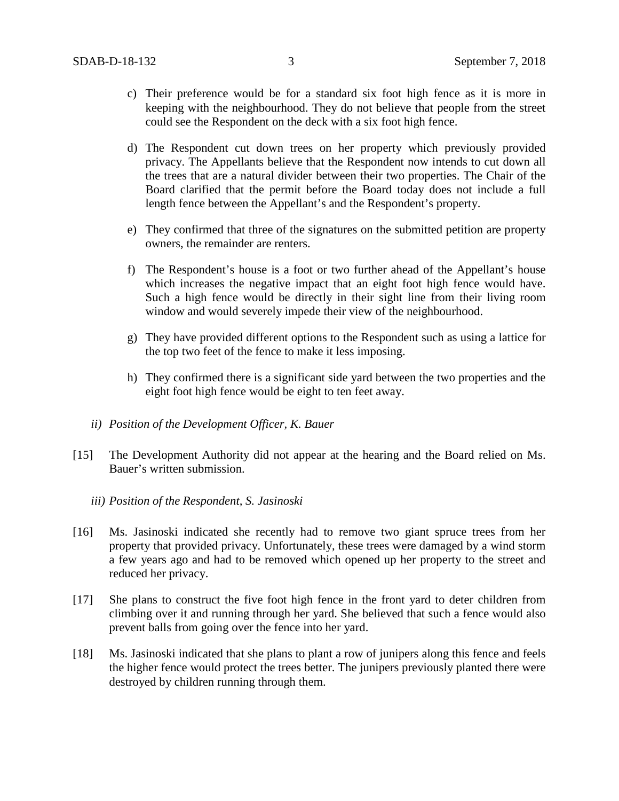- c) Their preference would be for a standard six foot high fence as it is more in keeping with the neighbourhood. They do not believe that people from the street could see the Respondent on the deck with a six foot high fence.
- d) The Respondent cut down trees on her property which previously provided privacy. The Appellants believe that the Respondent now intends to cut down all the trees that are a natural divider between their two properties. The Chair of the Board clarified that the permit before the Board today does not include a full length fence between the Appellant's and the Respondent's property.
- e) They confirmed that three of the signatures on the submitted petition are property owners, the remainder are renters.
- f) The Respondent's house is a foot or two further ahead of the Appellant's house which increases the negative impact that an eight foot high fence would have. Such a high fence would be directly in their sight line from their living room window and would severely impede their view of the neighbourhood.
- g) They have provided different options to the Respondent such as using a lattice for the top two feet of the fence to make it less imposing.
- h) They confirmed there is a significant side yard between the two properties and the eight foot high fence would be eight to ten feet away.
- *ii) Position of the Development Officer, K. Bauer*
- [15] The Development Authority did not appear at the hearing and the Board relied on Ms. Bauer's written submission.
	- *iii) Position of the Respondent, S. Jasinoski*
- [16] Ms. Jasinoski indicated she recently had to remove two giant spruce trees from her property that provided privacy. Unfortunately, these trees were damaged by a wind storm a few years ago and had to be removed which opened up her property to the street and reduced her privacy.
- [17] She plans to construct the five foot high fence in the front yard to deter children from climbing over it and running through her yard. She believed that such a fence would also prevent balls from going over the fence into her yard.
- [18] Ms. Jasinoski indicated that she plans to plant a row of junipers along this fence and feels the higher fence would protect the trees better. The junipers previously planted there were destroyed by children running through them.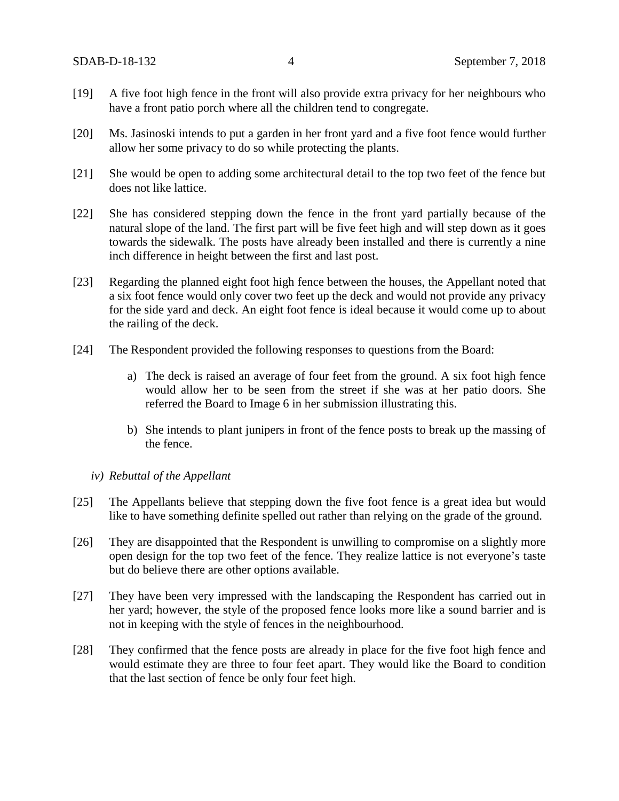- [19] A five foot high fence in the front will also provide extra privacy for her neighbours who have a front patio porch where all the children tend to congregate.
- [20] Ms. Jasinoski intends to put a garden in her front yard and a five foot fence would further allow her some privacy to do so while protecting the plants.
- [21] She would be open to adding some architectural detail to the top two feet of the fence but does not like lattice.
- [22] She has considered stepping down the fence in the front yard partially because of the natural slope of the land. The first part will be five feet high and will step down as it goes towards the sidewalk. The posts have already been installed and there is currently a nine inch difference in height between the first and last post.
- [23] Regarding the planned eight foot high fence between the houses, the Appellant noted that a six foot fence would only cover two feet up the deck and would not provide any privacy for the side yard and deck. An eight foot fence is ideal because it would come up to about the railing of the deck.
- [24] The Respondent provided the following responses to questions from the Board:
	- a) The deck is raised an average of four feet from the ground. A six foot high fence would allow her to be seen from the street if she was at her patio doors. She referred the Board to Image 6 in her submission illustrating this.
	- b) She intends to plant junipers in front of the fence posts to break up the massing of the fence.

### *iv) Rebuttal of the Appellant*

- [25] The Appellants believe that stepping down the five foot fence is a great idea but would like to have something definite spelled out rather than relying on the grade of the ground.
- [26] They are disappointed that the Respondent is unwilling to compromise on a slightly more open design for the top two feet of the fence. They realize lattice is not everyone's taste but do believe there are other options available.
- [27] They have been very impressed with the landscaping the Respondent has carried out in her yard; however, the style of the proposed fence looks more like a sound barrier and is not in keeping with the style of fences in the neighbourhood.
- [28] They confirmed that the fence posts are already in place for the five foot high fence and would estimate they are three to four feet apart. They would like the Board to condition that the last section of fence be only four feet high.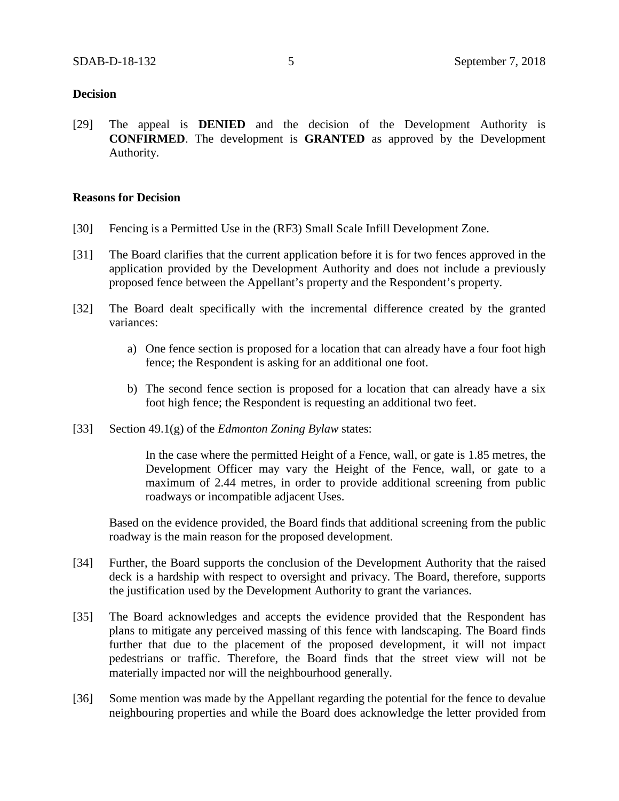### **Decision**

[29] The appeal is **DENIED** and the decision of the Development Authority is **CONFIRMED**. The development is **GRANTED** as approved by the Development Authority.

### **Reasons for Decision**

- [30] Fencing is a Permitted Use in the (RF3) Small Scale Infill Development Zone.
- [31] The Board clarifies that the current application before it is for two fences approved in the application provided by the Development Authority and does not include a previously proposed fence between the Appellant's property and the Respondent's property.
- [32] The Board dealt specifically with the incremental difference created by the granted variances:
	- a) One fence section is proposed for a location that can already have a four foot high fence; the Respondent is asking for an additional one foot.
	- b) The second fence section is proposed for a location that can already have a six foot high fence; the Respondent is requesting an additional two feet.
- [33] Section 49.1(g) of the *Edmonton Zoning Bylaw* states:

In the case where the permitted Height of a Fence, wall, or gate is 1.85 metres, the Development Officer may vary the Height of the Fence, wall, or gate to a maximum of 2.44 metres, in order to provide additional screening from public roadways or incompatible adjacent Uses.

Based on the evidence provided, the Board finds that additional screening from the public roadway is the main reason for the proposed development.

- [34] Further, the Board supports the conclusion of the Development Authority that the raised deck is a hardship with respect to oversight and privacy. The Board, therefore, supports the justification used by the Development Authority to grant the variances.
- [35] The Board acknowledges and accepts the evidence provided that the Respondent has plans to mitigate any perceived massing of this fence with landscaping. The Board finds further that due to the placement of the proposed development, it will not impact pedestrians or traffic. Therefore, the Board finds that the street view will not be materially impacted nor will the neighbourhood generally.
- [36] Some mention was made by the Appellant regarding the potential for the fence to devalue neighbouring properties and while the Board does acknowledge the letter provided from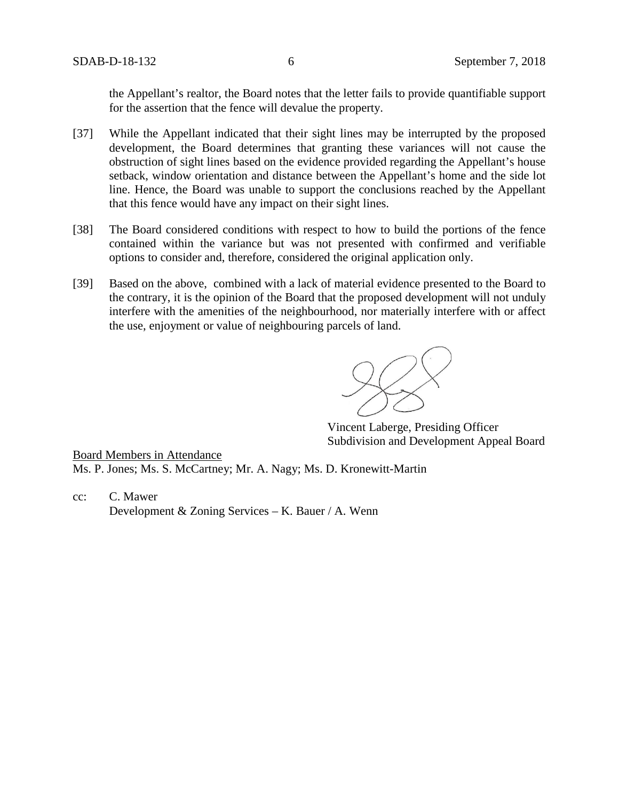the Appellant's realtor, the Board notes that the letter fails to provide quantifiable support for the assertion that the fence will devalue the property.

- [37] While the Appellant indicated that their sight lines may be interrupted by the proposed development, the Board determines that granting these variances will not cause the obstruction of sight lines based on the evidence provided regarding the Appellant's house setback, window orientation and distance between the Appellant's home and the side lot line. Hence, the Board was unable to support the conclusions reached by the Appellant that this fence would have any impact on their sight lines.
- [38] The Board considered conditions with respect to how to build the portions of the fence contained within the variance but was not presented with confirmed and verifiable options to consider and, therefore, considered the original application only.
- [39] Based on the above, combined with a lack of material evidence presented to the Board to the contrary, it is the opinion of the Board that the proposed development will not unduly interfere with the amenities of the neighbourhood, nor materially interfere with or affect the use, enjoyment or value of neighbouring parcels of land.

Vincent Laberge, Presiding Officer Subdivision and Development Appeal Board

Board Members in Attendance Ms. P. Jones; Ms. S. McCartney; Mr. A. Nagy; Ms. D. Kronewitt-Martin

cc: C. Mawer Development & Zoning Services – K. Bauer / A. Wenn